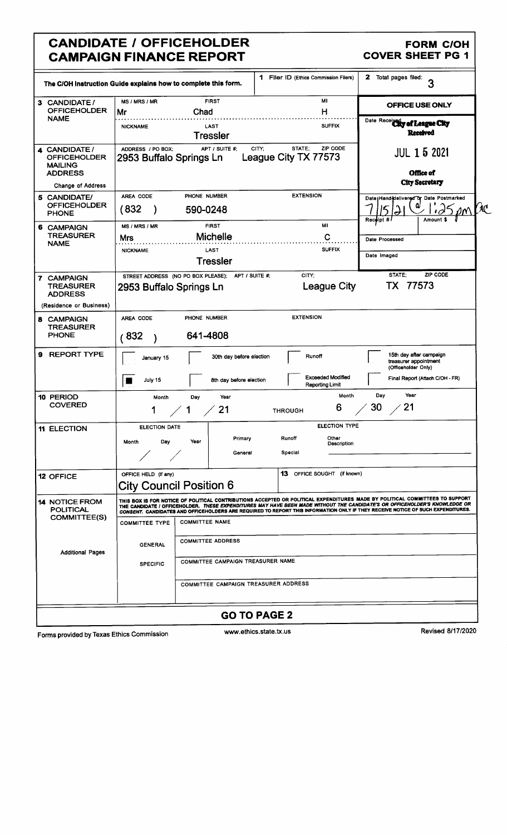### CANDIDATE / OFFICEHOLDER FORM C/OH FORM C/OH FORM C/OH **CAMPAIGN FINANCE REPORT**

|                                                                          |                                                                                                                                                                                                                                                                                                                                                                                               | 1 Filer ID (Ethics Commission Filers)               | $\mathbf{z}$<br>Total pages filed:                                      |  |  |  |
|--------------------------------------------------------------------------|-----------------------------------------------------------------------------------------------------------------------------------------------------------------------------------------------------------------------------------------------------------------------------------------------------------------------------------------------------------------------------------------------|-----------------------------------------------------|-------------------------------------------------------------------------|--|--|--|
|                                                                          | The C/OH Instruction Guide explains how to complete this form.                                                                                                                                                                                                                                                                                                                                |                                                     | 3                                                                       |  |  |  |
| 3 CANDIDATE /<br><b>OFFICEHOLDER</b>                                     | <b>FIRST</b><br>MS / MRS / MR<br>Chad<br>Mr                                                                                                                                                                                                                                                                                                                                                   | MI<br>н                                             | OFFICE USE ONLY                                                         |  |  |  |
| <b>NAME</b>                                                              | LAST<br><b>NICKNAME</b><br><b>Tressler</b>                                                                                                                                                                                                                                                                                                                                                    | Date Received of League City<br><b>Received</b>     |                                                                         |  |  |  |
| 4 CANDIDATE /<br><b>OFFICEHOLDER</b><br><b>MAILING</b><br><b>ADDRESS</b> | APT / SUITE #:<br>ADDRESS / PO BOX:<br>2953 Buffalo Springs Ln                                                                                                                                                                                                                                                                                                                                | ZIP CODE<br>STATE:<br>CITY;<br>League City TX 77573 | <b>JUL 1 5 2021</b><br>Office of<br><b>City Secretary</b>               |  |  |  |
| Change of Address                                                        | PHONE NUMBER<br>AREA CODE                                                                                                                                                                                                                                                                                                                                                                     | <b>EXTENSION</b>                                    |                                                                         |  |  |  |
| 5 CANDIDATE/<br><b>OFFICEHOLDER</b><br>PHONE                             | (832<br>590-0248                                                                                                                                                                                                                                                                                                                                                                              |                                                     | Date   Hand delivered or Date Postmarked                                |  |  |  |
| <b>6 CAMPAIGN</b>                                                        | <b>FIRST</b><br>MS / MRS / MR                                                                                                                                                                                                                                                                                                                                                                 | MI                                                  | Receipt #<br>Amount \$                                                  |  |  |  |
| <b>TREASURER</b><br><b>NAME</b>                                          | <b>Michelle</b><br><b>Mrs</b>                                                                                                                                                                                                                                                                                                                                                                 | C                                                   | Date Processed                                                          |  |  |  |
|                                                                          | LAST<br><b>NICKNAME</b>                                                                                                                                                                                                                                                                                                                                                                       | <b>SUFFIX</b>                                       | Date Imaged                                                             |  |  |  |
|                                                                          | <b>Tressler</b>                                                                                                                                                                                                                                                                                                                                                                               |                                                     |                                                                         |  |  |  |
| 7 CAMPAIGN<br><b>TREASURER</b><br><b>ADDRESS</b>                         | STREET ADDRESS (NO PO BOX PLEASE);<br>APT / SUITE #:<br>2953 Buffalo Springs Ln                                                                                                                                                                                                                                                                                                               | CITY:<br><b>League City</b>                         | STATE:<br>ZIP CODE<br>77573<br>TX.                                      |  |  |  |
| (Residence or Business)                                                  |                                                                                                                                                                                                                                                                                                                                                                                               |                                                     |                                                                         |  |  |  |
| 8 CAMPAIGN<br><b>TREASURER</b><br><b>PHONE</b>                           | <b>EXTENSION</b><br>PHONE NUMBER<br>AREA CODE<br>641-4808<br>832                                                                                                                                                                                                                                                                                                                              |                                                     |                                                                         |  |  |  |
| <b>REPORT TYPE</b><br>9                                                  | 30th day before election<br>January 15                                                                                                                                                                                                                                                                                                                                                        | Runoff                                              | 15th day after campaign<br>treasurer appointment<br>(Officeholder Only) |  |  |  |
|                                                                          | 8th day before election<br>July 15                                                                                                                                                                                                                                                                                                                                                            | <b>Exceeded Modified</b><br>Reporting Limit         | Final Report (Attach C/OH - FR)                                         |  |  |  |
| 10 PERIOD<br><b>COVERED</b>                                              | Month<br>Day<br>Year<br>21<br>1                                                                                                                                                                                                                                                                                                                                                               | Month<br>6<br><b>THROUGH</b>                        | Year<br>Day<br>21<br>30                                                 |  |  |  |
| <b>11 ELECTION</b>                                                       | <b>ELECTION DATE</b>                                                                                                                                                                                                                                                                                                                                                                          | <b>ELECTION TYPE</b>                                |                                                                         |  |  |  |
|                                                                          | Primary<br>Year<br>Day<br>Month<br>General                                                                                                                                                                                                                                                                                                                                                    |                                                     |                                                                         |  |  |  |
|                                                                          |                                                                                                                                                                                                                                                                                                                                                                                               |                                                     |                                                                         |  |  |  |
| <b>12 OFFICE</b>                                                         | <b>13</b> OFFICE SOUGHT (if known)<br>OFFICE HELD (if any)<br><b>City Council Position 6</b>                                                                                                                                                                                                                                                                                                  |                                                     |                                                                         |  |  |  |
| <b>14 NOTICE FROM</b><br><b>POLITICAL</b><br>COMMITTEE(S)                | THIS BOX IS FOR NOTICE OF POLITICAL CONTRIBUTIONS ACCEPTED OR POLITICAL EXPENDITURES MADE BY POLITICAL COMMITTEES TO SUPPORT<br>THE CANDIDATE / OFFICEHOLDER. THESE EXPENDITURES MAY HAVE BEEN MADE WITHOUT THE CANDIDATE'S OR OFFICEHOLDER'S KNOWLEDGE OR<br>CONSENT. CANDIDATES AND OFFICEHOLDERS ARE REQUIRED TO REPORT THIS INFORMATION ONLY IF THEY RECEIVE NOTICE OF SUCH EXPENDITURES. |                                                     |                                                                         |  |  |  |
|                                                                          | <b>COMMITTEE NAME</b><br><b>COMMITTEE TYPE</b>                                                                                                                                                                                                                                                                                                                                                |                                                     |                                                                         |  |  |  |
| <b>Additional Pages</b>                                                  | <b>COMMITTEE ADDRESS</b><br><b>GENERAL</b>                                                                                                                                                                                                                                                                                                                                                    |                                                     |                                                                         |  |  |  |
|                                                                          | COMMITTEE CAMPAIGN TREASURER NAME<br><b>SPECIFIC</b>                                                                                                                                                                                                                                                                                                                                          |                                                     |                                                                         |  |  |  |
|                                                                          | COMMITTEE CAMPAIGN TREASURER ADDRESS                                                                                                                                                                                                                                                                                                                                                          |                                                     |                                                                         |  |  |  |
|                                                                          |                                                                                                                                                                                                                                                                                                                                                                                               | <b>GO TO PAGE 2</b>                                 |                                                                         |  |  |  |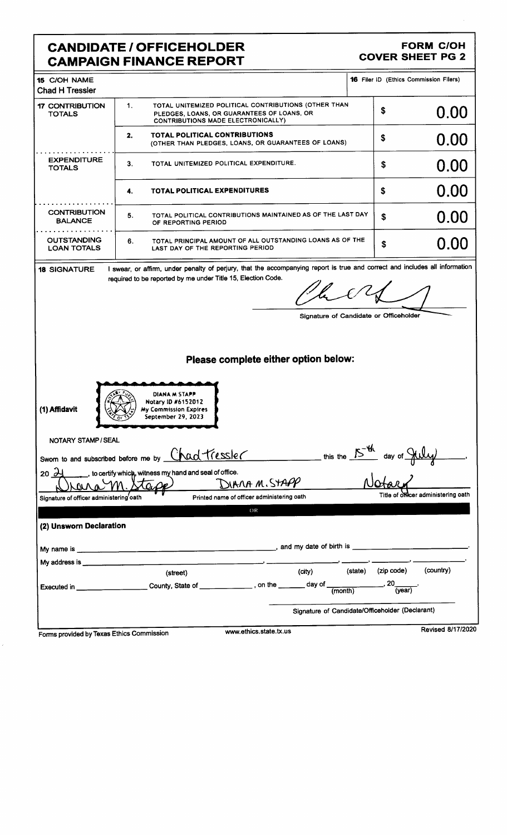## CANDIDATE / OFFICEHOLDER FORM COH **CAMPAIGN FINANCE REPORT**

| My address is <b>with the set of the set of the set of the set of the set of the set of the set of the set of the set of the set of the set of the set of the set of the set of the set of the set of the set of the set of the </b> | (street)<br>Executed in ______________________County, State of ______________, on the _______ day of __________                                                   | (city)                                                      | (state) (zip code)<br>$-$ , 20 $\frac{1}{(year)}$<br>Signature of Candidate/Officeholder (Declarant) | (country)                           |  |  |
|--------------------------------------------------------------------------------------------------------------------------------------------------------------------------------------------------------------------------------------|-------------------------------------------------------------------------------------------------------------------------------------------------------------------|-------------------------------------------------------------|------------------------------------------------------------------------------------------------------|-------------------------------------|--|--|
|                                                                                                                                                                                                                                      |                                                                                                                                                                   |                                                             |                                                                                                      |                                     |  |  |
|                                                                                                                                                                                                                                      |                                                                                                                                                                   |                                                             |                                                                                                      |                                     |  |  |
|                                                                                                                                                                                                                                      |                                                                                                                                                                   |                                                             |                                                                                                      |                                     |  |  |
|                                                                                                                                                                                                                                      |                                                                                                                                                                   |                                                             |                                                                                                      |                                     |  |  |
|                                                                                                                                                                                                                                      |                                                                                                                                                                   |                                                             |                                                                                                      |                                     |  |  |
|                                                                                                                                                                                                                                      |                                                                                                                                                                   |                                                             |                                                                                                      |                                     |  |  |
| (2) Unsworn Declaration                                                                                                                                                                                                              |                                                                                                                                                                   |                                                             |                                                                                                      |                                     |  |  |
| Signature of officer administering oath                                                                                                                                                                                              |                                                                                                                                                                   | OR                                                          |                                                                                                      |                                     |  |  |
|                                                                                                                                                                                                                                      |                                                                                                                                                                   | JIANA M.STAPP<br>Printed name of officer administering oath |                                                                                                      | Title of officer administering oath |  |  |
| $20\frac{1}{2}$                                                                                                                                                                                                                      | to certify which, witness my hand and seal of office.                                                                                                             |                                                             |                                                                                                      |                                     |  |  |
| Sworn to and subscribed before me by                                                                                                                                                                                                 | Chad tressler                                                                                                                                                     | this the $15-46$                                            | $\frac{1}{2}$ day of $\frac{1}{2}$                                                                   |                                     |  |  |
| NOTARY STAMP / SEAL                                                                                                                                                                                                                  |                                                                                                                                                                   |                                                             |                                                                                                      |                                     |  |  |
|                                                                                                                                                                                                                                      | September 29, 2023                                                                                                                                                |                                                             |                                                                                                      |                                     |  |  |
| Notary ID #6152012<br>(1) Affidavit<br><b>My Commission Expires</b>                                                                                                                                                                  |                                                                                                                                                                   |                                                             |                                                                                                      |                                     |  |  |
|                                                                                                                                                                                                                                      | DIANA M STAPP                                                                                                                                                     |                                                             |                                                                                                      |                                     |  |  |
|                                                                                                                                                                                                                                      |                                                                                                                                                                   |                                                             |                                                                                                      |                                     |  |  |
|                                                                                                                                                                                                                                      |                                                                                                                                                                   | Please complete either option below:                        |                                                                                                      |                                     |  |  |
|                                                                                                                                                                                                                                      |                                                                                                                                                                   |                                                             |                                                                                                      |                                     |  |  |
|                                                                                                                                                                                                                                      |                                                                                                                                                                   |                                                             | Signature of Candidate or Officeholder                                                               |                                     |  |  |
|                                                                                                                                                                                                                                      |                                                                                                                                                                   |                                                             |                                                                                                      |                                     |  |  |
|                                                                                                                                                                                                                                      | required to be reported by me under Title 15, Election Code.                                                                                                      |                                                             |                                                                                                      |                                     |  |  |
| <b>18 SIGNATURE</b>                                                                                                                                                                                                                  | I swear, or affirm, under penalty of perjury, that the accompanying report is true and correct and includes all information                                       |                                                             |                                                                                                      |                                     |  |  |
| <b>OUTSTANDING</b><br><b>LOAN TOTALS</b>                                                                                                                                                                                             | 6.<br>LAST DAY OF THE REPORTING PERIOD                                                                                                                            | TOTAL PRINCIPAL AMOUNT OF ALL OUTSTANDING LOANS AS OF THE   | \$                                                                                                   | 0.00                                |  |  |
| <b>BALANCE</b>                                                                                                                                                                                                                       | 5.<br>OF REPORTING PERIOD                                                                                                                                         | TOTAL POLITICAL CONTRIBUTIONS MAINTAINED AS OF THE LAST DAY | \$                                                                                                   | 0.00                                |  |  |
| <b>CONTRIBUTION</b>                                                                                                                                                                                                                  | TOTAL POLITICAL EXPENDITURES<br>4.                                                                                                                                |                                                             | \$                                                                                                   | 0.00                                |  |  |
|                                                                                                                                                                                                                                      |                                                                                                                                                                   |                                                             |                                                                                                      |                                     |  |  |
| <b>EXPENDITURE</b><br><b>TOTALS</b>                                                                                                                                                                                                  | TOTAL UNITEMIZED POLITICAL EXPENDITURE.<br>3.                                                                                                                     |                                                             | \$                                                                                                   | 0.00                                |  |  |
|                                                                                                                                                                                                                                      | TOTAL POLITICAL CONTRIBUTIONS<br>2.                                                                                                                               | (OTHER THAN PLEDGES, LOANS, OR GUARANTEES OF LOANS)         | \$                                                                                                   | 0.00                                |  |  |
| <b>17 CONTRIBUTION</b><br><b>TOTALS</b>                                                                                                                                                                                              | $\mathbf{1}$ .<br>TOTAL UNITEMIZED POLITICAL CONTRIBUTIONS (OTHER THAN<br>PLEDGES, LOANS, OR GUARANTEES OF LOANS, OR<br><b>CONTRIBUTIONS MADE ELECTRONICALLY)</b> |                                                             | \$                                                                                                   | 0.00                                |  |  |
| <b>Chad H Tressler</b>                                                                                                                                                                                                               |                                                                                                                                                                   |                                                             |                                                                                                      |                                     |  |  |
| 15 C/OH NAME                                                                                                                                                                                                                         |                                                                                                                                                                   |                                                             | <b>16 Filer ID (Ethics Commission Filers)</b>                                                        |                                     |  |  |